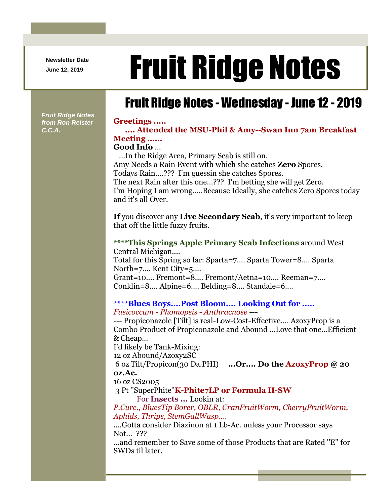**Newsletter Date**

*Fruit Ridge Notes from Ron Reister* 

*C.C.A.*

# Newsletter Date **Fruit Ridge Notes**

## Fruit Ridge Notes - Wednesday - June 12 - 2019

#### **Greetings .....**

**.... Attended the MSU-Phil & Amy--Swan Inn 7am Breakfast Meeting ......**

#### **Good Info** ...

...In the Ridge Area, Primary Scab is still on. Amy Needs a Rain Event with which she catches **Zero** Spores. Todays Rain....??? I'm guessin she catches Spores. The next Rain after this one...??? I'm betting she will get Zero. I'm Hoping I am wrong.....Because Ideally, she catches Zero Spores today and it's all Over.

**If** you discover any **Live Secondary Scab**, it's very important to keep that off the little fuzzy fruits.

#### **\*\*\*\*This Springs Apple Primary Scab Infections** around West Central Michigan....

Total for this Spring so far: Sparta=7.... Sparta Tower=8.... Sparta North=7.... Kent City=5.... Grant=10.... Fremont=8.... Fremont/Aetna=10.... Reeman=7.... Conklin=8.... Alpine=6.... Belding=8.... Standale=6....

### **\*\*\*\*Blues Boys....Post Bloom.... Looking Out for .....**

*Fusicoccum - Phomopsis - Anthracnose* ---

--- Propiconazole [Tilt] is real-Low-Cost-Effective.... AzoxyProp is a Combo Product of Propiconazole and Abound ...Love that one...Efficient & Cheap...

I'd likely be Tank-Mixing:

12 oz Abound/Azoxy2SC

6 oz Tilt/Propicon(30 Da.PHI) **...Or.... Do the AzoxyProp @ 20 oz.Ac.**

16 oz CS2005

3 Pt ''SuperPhite''**K-Phite7LP or Formula II-SW**

For **Insects ...** Lookin at:

*P.Curc., BluesTip Borer, OBLR, CranFruitWorm, CherryFruitWorm, Aphids, Thrips, StemGallWasp....*

....Gotta consider Diazinon at 1 Lb-Ac. unless your Processor says Not... ???

...and remember to Save some of those Products that are Rated ''E'' for SWDs til later.